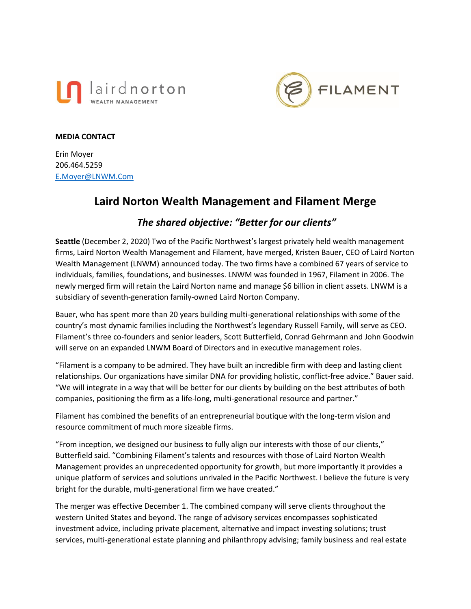



#### **MEDIA CONTACT**

Erin Moyer 206.464.5259 [E.Moyer@LNWM.Com](mailto:E.Moyer@LNWM.Com)

# **Laird Norton Wealth Management and Filament Merge**

# *The shared objective: "Better for our clients"*

**Seattle** (December 2, 2020) Two of the Pacific Northwest's largest privately held wealth management firms, Laird Norton Wealth Management and Filament, have merged, Kristen Bauer, CEO of Laird Norton Wealth Management (LNWM) announced today. The two firms have a combined 67 years of service to individuals, families, foundations, and businesses. LNWM was founded in 1967, Filament in 2006. The newly merged firm will retain the Laird Norton name and manage \$6 billion in client assets. LNWM is a subsidiary of seventh-generation family-owned Laird Norton Company.

Bauer, who has spent more than 20 years building multi-generational relationships with some of the country's most dynamic families including the Northwest's legendary Russell Family, will serve as CEO. Filament's three co-founders and senior leaders, Scott Butterfield, Conrad Gehrmann and John Goodwin will serve on an expanded LNWM Board of Directors and in executive management roles.

"Filament is a company to be admired. They have built an incredible firm with deep and lasting client relationships. Our organizations have similar DNA for providing holistic, conflict-free advice." Bauer said. "We will integrate in a way that will be better for our clients by building on the best attributes of both companies, positioning the firm as a life-long, multi-generational resource and partner."

Filament has combined the benefits of an entrepreneurial boutique with the long-term vision and resource commitment of much more sizeable firms.

"From inception, we designed our business to fully align our interests with those of our clients," Butterfield said. "Combining Filament's talents and resources with those of Laird Norton Wealth Management provides an unprecedented opportunity for growth, but more importantly it provides a unique platform of services and solutions unrivaled in the Pacific Northwest. I believe the future is very bright for the durable, multi-generational firm we have created."

The merger was effective December 1. The combined company will serve clients throughout the western United States and beyond. The range of advisory services encompasses sophisticated investment advice, including private placement, alternative and impact investing solutions; trust services, multi-generational estate planning and philanthropy advising; family business and real estate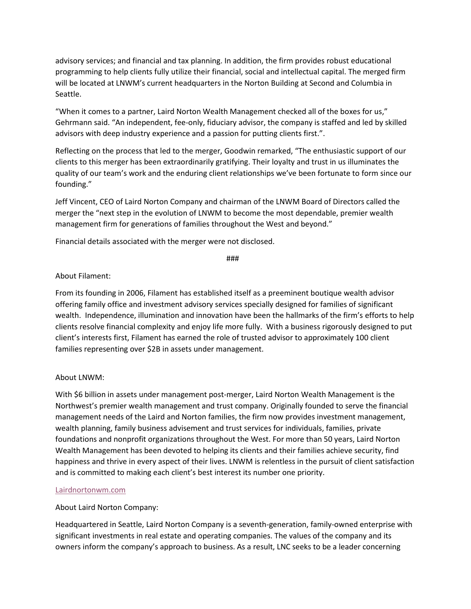advisory services; and financial and tax planning. In addition, the firm provides robust educational programming to help clients fully utilize their financial, social and intellectual capital. The merged firm will be located at LNWM's current headquarters in the Norton Building at Second and Columbia in Seattle.

"When it comes to a partner, Laird Norton Wealth Management checked all of the boxes for us," Gehrmann said. "An independent, fee-only, fiduciary advisor, the company is staffed and led by skilled advisors with deep industry experience and a passion for putting clients first.".

Reflecting on the process that led to the merger, Goodwin remarked, "The enthusiastic support of our clients to this merger has been extraordinarily gratifying. Their loyalty and trust in us illuminates the quality of our team's work and the enduring client relationships we've been fortunate to form since our founding."

Jeff Vincent, CEO of Laird Norton Company and chairman of the LNWM Board of Directors called the merger the "next step in the evolution of LNWM to become the most dependable, premier wealth management firm for generations of families throughout the West and beyond."

Financial details associated with the merger were not disclosed.

###

## About Filament:

From its founding in 2006, Filament has established itself as a preeminent boutique wealth advisor offering family office and investment advisory services specially designed for families of significant wealth. Independence, illumination and innovation have been the hallmarks of the firm's efforts to help clients resolve financial complexity and enjoy life more fully. With a business rigorously designed to put client's interests first, Filament has earned the role of trusted advisor to approximately 100 client families representing over \$2B in assets under management.

### About LNWM:

With \$6 billion in assets under management post-merger, Laird Norton Wealth Management is the Northwest's premier wealth management and trust company. Originally founded to serve the financial management needs of the Laird and Norton families, the firm now provides investment management, wealth planning, family business advisement and trust services for individuals, families, private foundations and nonprofit organizations throughout the West. For more than 50 years, Laird Norton Wealth Management has been devoted to helping its clients and their families achieve security, find happiness and thrive in every aspect of their lives. LNWM is relentless in the pursuit of client satisfaction and is committed to making each client's best interest its number one priority.

### [Lairdnortonwm.com](https://lairdnortonwm.com/)

# About Laird Norton Company:

Headquartered in Seattle, Laird Norton Company is a seventh-generation, family-owned enterprise with significant investments in real estate and operating companies. The values of the company and its owners inform the company's approach to business. As a result, LNC seeks to be a leader concerning